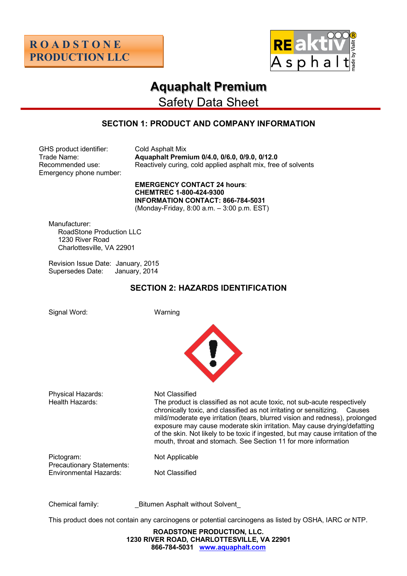



# **Aquaphalt Premium**

Safety Data Sheet

# **SECTION 1: PRODUCT AND COMPANY INFORMATION**

GHS product identifier: Cold Asphalt Mix Emergency phone number:

Trade Name: **Aquaphalt Premium 0/4.0, 0/6.0, 0/9.0, 0/12.0** Recommended use: Reactively curing, cold applied asphalt mix, free of solvents

> **EMERGENCY CONTACT 24 hours**: **CHEMTREC 1-800-424-9300 INFORMATION CONTACT: 866-784-5031** (Monday-Friday, 8:00 a.m. – 3:00 p.m. EST)

Manufacturer: RoadStone Production LLC 1230 River Road Charlottesville, VA 22901

Revision Issue Date: January, 2015 Supersedes Date: January, 2014

# **SECTION 2: HAZARDS IDENTIFICATION**

Signal Word: Warning



Physical Hazards: Not Classified

Health Hazards: The product is classified as not acute toxic, not sub-acute respectively chronically toxic, and classified as not irritating or sensitizing. Causes mild/moderate eye irritation (tears, blurred vision and redness), prolonged exposure may cause moderate skin irritation. May cause drying/defatting of the skin. Not likely to be toxic if ingested, but may cause irritation of the mouth, throat and stomach. See Section 11 for more information

Pictogram: Not Applicable Precautionary Statements: Environmental Hazards: Not Classified

Chemical family: **Example 20 Bitumen Asphalt without Solvent** 

This product does not contain any carcinogens or potential carcinogens as listed by OSHA, IARC or NTP.

**ROADSTONE PRODUCTION, LLC. 1230 RIVER ROAD, CHARLOTTESVILLE, VA 22901 866-784-5031 www.aquaphalt.com**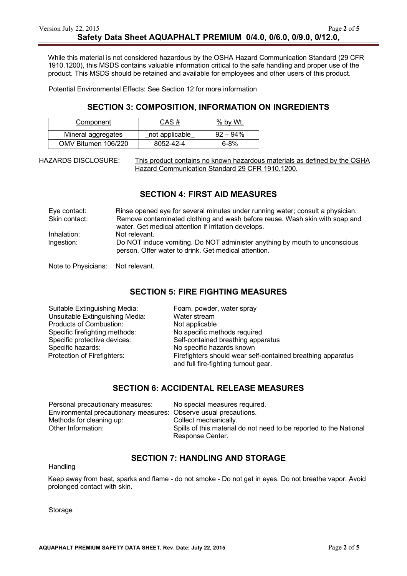While this material is not considered hazardous by the OSHA Hazard Communication Standard (29 CFR 1910.1200), this MSDS contains valuable information critical to the safe handling and proper use of the product. This MSDS should be retained and available for employees and other users of this product.

Potential Environmental Effects: See Section 12 for more information

#### **SECTION 3: COMPOSITION, INFORMATION ON INGREDIENTS**

| Component           | CAS #          | % by Wt.    |
|---------------------|----------------|-------------|
| Mineral aggregates  | not applicable | $92 - 94\%$ |
| OMV Bitumen 106/220 | 8052-42-4      | $6 - 8%$    |

HAZARDS DISCLOSURE: This product contains no known hazardous materials as defined by the OSHA Hazard Communication Standard 29 CFR 1910.1200.

#### **SECTION 4: FIRST AID MEASURES**

| Eye contact:  | Rinse opened eye for several minutes under running water; consult a physician.                                                     |
|---------------|------------------------------------------------------------------------------------------------------------------------------------|
| Skin contact: | Remove contaminated clothing and wash before reuse. Wash skin with soap and                                                        |
|               | water. Get medical attention if irritation develops.                                                                               |
| Inhalation:   | Not relevant.                                                                                                                      |
| Ingestion:    | Do NOT induce vomiting. Do NOT administer anything by mouth to unconscious<br>person. Offer water to drink. Get medical attention. |

Note to Physicians: Not relevant.

#### **SECTION 5: FIRE FIGHTING MEASURES**

| Suitable Extinguishing Media:   | Foam, powder, water spray                                   |
|---------------------------------|-------------------------------------------------------------|
| Unsuitable Extinguishing Media: | Water stream                                                |
| Products of Combustion:         | Not applicable                                              |
| Specific firefighting methods:  | No specific methods required                                |
| Specific protective devices:    | Self-contained breathing apparatus                          |
| Specific hazards:               | No specific hazards known                                   |
| Protection of Firefighters:     | Firefighters should wear self-contained breathing apparatus |
|                                 | and full fire-fighting turnout gear.                        |

#### **SECTION 6: ACCIDENTAL RELEASE MEASURES**

| Personal precautionary measures:                                 | No special measures required.                                                          |
|------------------------------------------------------------------|----------------------------------------------------------------------------------------|
| Environmental precautionary measures: Observe usual precautions. |                                                                                        |
| Methods for cleaning up:                                         | Collect mechanically.                                                                  |
| Other Information:                                               | Spills of this material do not need to be reported to the National<br>Response Center. |

#### **SECTION 7: HANDLING AND STORAGE**

**Handling** 

Keep away from heat, sparks and flame - do not smoke - Do not get in eyes. Do not breathe vapor. Avoid prolonged contact with skin.

Storage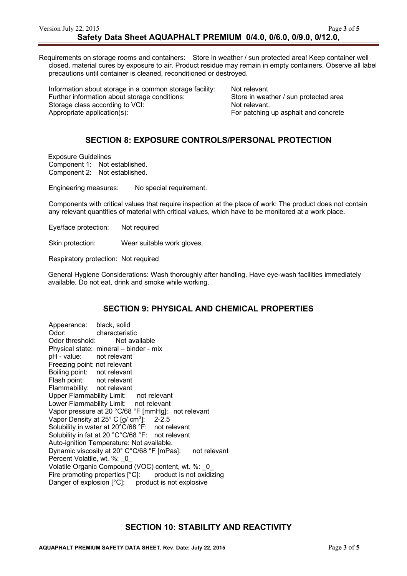Requirements on storage rooms and containers: Store in weather / sun protected area! Keep container well closed, material cures by exposure to air. Product residue may remain in empty containers. Observe all label precautions until container is cleaned, reconditioned or destroyed.

Information about storage in a common storage facility: Not relevant Further information about storage conditions: Store in weather / sun protected area Storage class according to VCI: Not relevant. Appropriate application(s): For patching up asphalt and concrete

# **SECTION 8: EXPOSURE CONTROLS/PERSONAL PROTECTION**

Exposure Guidelines Component 1: Not established. Component 2: Not established.

Engineering measures: No special requirement.

Components with critical values that require inspection at the place of work: The product does not contain any relevant quantities of material with critical values, which have to be monitored at a work place.

Eye/face protection: Not required

Skin protection: Wear suitable work gloves.

Respiratory protection: Not required

General Hygiene Considerations: Wash thoroughly after handling. Have eye-wash facilities immediately available. Do not eat, drink and smoke while working.

## **SECTION 9: PHYSICAL AND CHEMICAL PROPERTIES**

Appearance: black, solid Odor: characteristic<br>Odor threshold: Not available Odor threshold: Physical state: mineral – binder - mix pH - value: not relevant Freezing point: not relevant Boiling point: not relevant Flash point: not relevant Flammability: not relevant Upper Flammability Limit: not relevant Lower Flammability Limit: not relevant Vapor pressure at 20 °C/68 °F [mmHg]: not relevant Vapor Density at  $25^{\circ}$  C [g/ cm<sup>3</sup>]: ]: 2-2.5 Solubility in water at 20°C/68 °F: not relevant Solubility in fat at 20 °C°C/68 °F: not relevant Auto-ignition Temperature: Not available. Dynamic viscosity at 20° C°C/68 °F [mPas]: not relevant Percent Volatile, wt. %: 0 Volatile Organic Compound (VOC) content, wt. %: \_0\_ Fire promoting properties [°C]: product is not oxidizing Danger of explosion [°C]: product is not explosive

# **SECTION 10: STABILITY AND REACTIVITY**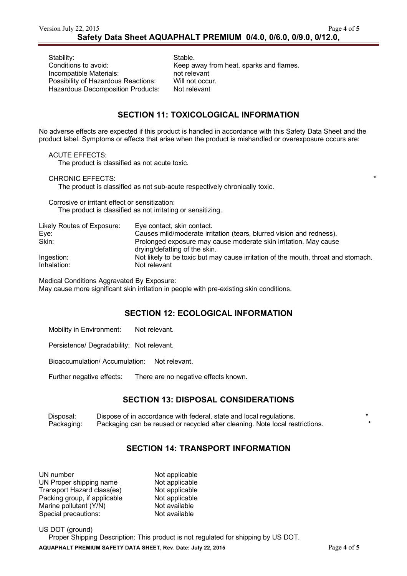Stability: Stable. Incompatible Materials: not relevant<br>
Possibility of Hazardous Reactions: Will not occur Possibility of Hazardous Reactions: Will not occur.<br>Hazardous Decomposition Products: Not relevant Hazardous Decomposition Products:

Conditions to avoid: Keep away from heat, sparks and flames.

#### **SECTION 11: TOXICOLOGICAL INFORMATION**

No adverse effects are expected if this product is handled in accordance with this Safety Data Sheet and the product label. Symptoms or effects that arise when the product is mishandled or overexposure occurs are:

ACUTE EFFECTS:

The product is classified as not acute toxic.

CHRONIC EFFECTS:

The product is classified as not sub-acute respectively chronically toxic.

Corrosive or irritant effect or sensitization: The product is classified as not irritating or sensitizing.

| Likely Routes of Exposure: | Eye contact, skin contact.                                                                        |
|----------------------------|---------------------------------------------------------------------------------------------------|
| Eye:                       | Causes mild/moderate irritation (tears, blurred vision and redness).                              |
| Skin:                      | Prolonged exposure may cause moderate skin irritation. May cause<br>drying/defatting of the skin. |
| Ingestion:                 | Not likely to be toxic but may cause irritation of the mouth, throat and stomach.                 |
| Inhalation:                | Not relevant                                                                                      |

Medical Conditions Aggravated By Exposure:

May cause more significant skin irritation in people with pre-existing skin conditions.

## **SECTION 12: ECOLOGICAL INFORMATION**

Mobility in Environment: Not relevant.

Persistence/ Degradability: Not relevant.

Bioaccumulation/ Accumulation: Not relevant.

Further negative effects: There are no negative effects known.

## **SECTION 13: DISPOSAL CONSIDERATIONS**

Disposal: Dispose of in accordance with federal, state and local regulations. \* Packaging: Packaging can be reused or recycled after cleaning. Note local restrictions. \*

# **SECTION 14: TRANSPORT INFORMATION**

| UN number                    | Not applicable |
|------------------------------|----------------|
| UN Proper shipping name      | Not applicable |
| Transport Hazard class(es)   | Not applicable |
| Packing group, if applicable | Not applicable |
| Marine pollutant (Y/N)       | Not available  |
| Special precautions:         | Not available  |

**AQUAPHALT PREMIUM SAFETY DATA SHEET, Rev. Date: July 22, 2015** Page **4** of **5** US DOT (ground) Proper Shipping Description: This product is not regulated for shipping by US DOT.